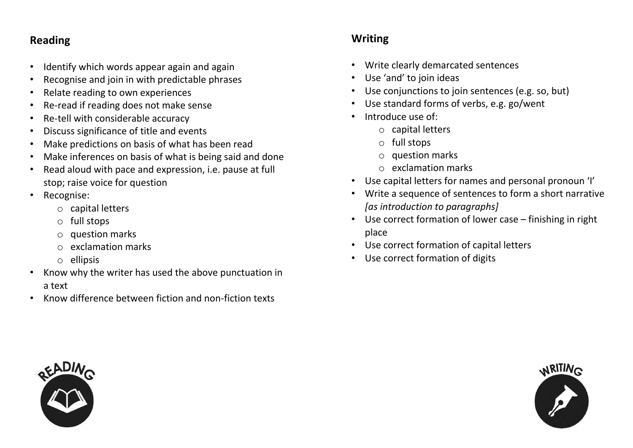### **Reading**

- Identify which words appear again and again
- Recognise and join in with predictable phrases
- Relate reading to own experiences
- Re-read if reading does not make sense
- Re-tell with considerable accuracy
- Discuss significance of title and events
- Make predictions on basis of what has been read
- Make inferences on basis of what is being said and done
- Read aloud with pace and expression, i.e. pause at full stop; raise voice for question
- Recognise:
	- o capital letters
	- o full stops
	- o question marks
	- o exclamation marks
	- o ellipsis
- Know why the writer has used the above punctuation in a text
- Know difference between fiction and non-fiction texts

### **Writing**

- Write clearly demarcated sentences
- Use 'and' to join ideas
- Use conjunctions to join sentences (e.g. so, but)
- Use standard forms of verbs, e.g. go/went
- Introduce use of:
	- o capital letters
	- o full stops
	- o question marks
	- o exclamation marks
- Use capital letters for names and personal pronoun 'I'
- Write a sequence of sentences to form a short narrative *[as introduction to paragraphs]*
- Use correct formation of lower case finishing in right place
- Use correct formation of capital letters
- Use correct formation of digits